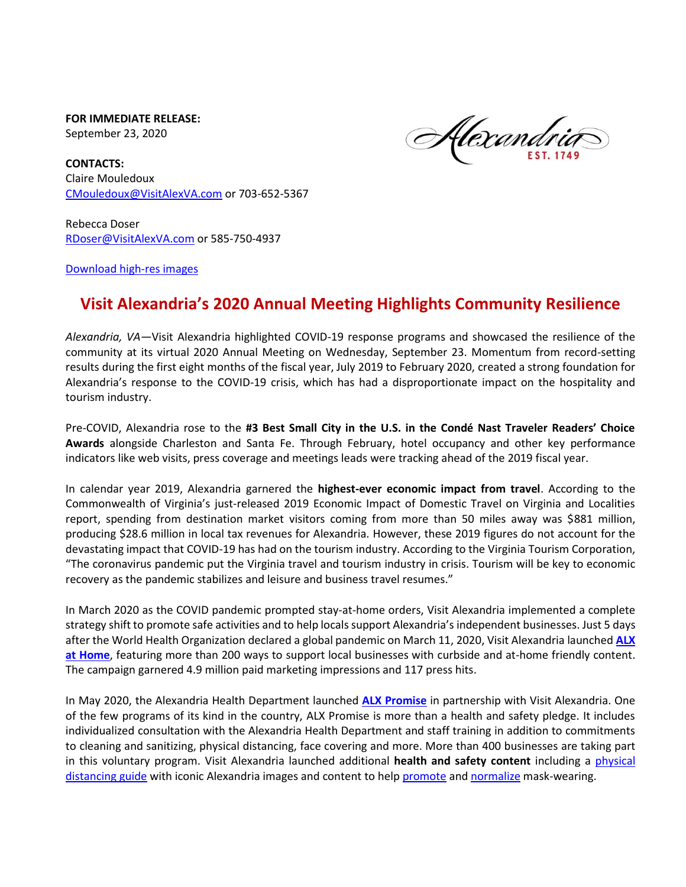**FOR IMMEDIATE RELEASE:** September 23, 2020

Alexandria

**CONTACTS:**  Claire Mouledoux [CMouledoux@VisitAlexVA.com](mailto:CMouledoux@VisitAlexVA.com) or 703-652-5367

Rebecca Doser [RDoser@VisitAlexVA.com](mailto:RDoser@VisitAlexVA.com) or 585-750-4937

[Download high-res images](https://visitalexva.imagerelay.com/sb/f29bc09a-8b93-48b6-8738-e5e028c3310b/2020-annual-meeting)

## **Visit Alexandria's 2020 Annual Meeting Highlights Community Resilience**

*Alexandria, VA—*Visit Alexandria highlighted COVID-19 response programs and showcased the resilience of the community at its virtual 2020 Annual Meeting on Wednesday, September 23. Momentum from record-setting results during the first eight months of the fiscal year, July 2019 to February 2020, created a strong foundation for Alexandria's response to the COVID-19 crisis, which has had a disproportionate impact on the hospitality and tourism industry.

Pre-COVID, Alexandria rose to the **#3 Best Small City in the U.S. in the Condé Nast Traveler Readers' Choice Awards** alongside Charleston and Santa Fe. Through February, hotel occupancy and other key performance indicators like web visits, press coverage and meetings leads were tracking ahead of the 2019 fiscal year.

In calendar year 2019, Alexandria garnered the **highest-ever economic impact from travel**. According to the Commonwealth of Virginia's just-released 2019 Economic Impact of Domestic Travel on Virginia and Localities report, spending from destination market visitors coming from more than 50 miles away was \$881 million, producing \$28.6 million in local tax revenues for Alexandria. However, these 2019 figures do not account for the devastating impact that COVID-19 has had on the tourism industry. According to the Virginia Tourism Corporation, "The coronavirus pandemic put the Virginia travel and tourism industry in crisis. Tourism will be key to economic recovery as the pandemic stabilizes and leisure and business travel resumes."

In March 2020 as the COVID pandemic prompted stay-at-home orders, Visit Alexandria implemented a complete strategy shift to promote safe activities and to help locals support Alexandria's independent businesses. Just 5 days after the World Health Organization declared a global pandemic on March 11, 2020, Visit Alexandria launched **[ALX](https://www.visitalexandriava.com/alxathome/)  [at Home](https://www.visitalexandriava.com/alxathome/)**, featuring more than 200 ways to support local businesses with curbside and at-home friendly content. The campaign garnered 4.9 million paid marketing impressions and 117 press hits.

In May 2020, the Alexandria Health Department launched **[ALX Promise](https://www.visitalexandriava.com/alx-promise/)** in partnership with Visit Alexandria. One of the few programs of its kind in the country, ALX Promise is more than a health and safety pledge. It includes individualized consultation with the Alexandria Health Department and staff training in addition to commitments to cleaning and sanitizing, physical distancing, face covering and more. More than 400 businesses are taking part in this voluntary program. Visit Alexandria launched additional **health and safety content** including a [physical](https://assets.simpleviewinc.com/simpleview/image/upload/v1/clients/alexandria/AVA405_ALXatHome_PhysicalDistancing_1024x512_cf2ab393-0cd3-4949-9373-2aaa28668ecf.jpg) [distancing guide](https://assets.simpleviewinc.com/simpleview/image/upload/v1/clients/alexandria/AVA405_ALXatHome_PhysicalDistancing_1024x512_cf2ab393-0cd3-4949-9373-2aaa28668ecf.jpg) with iconic Alexandria images and content to help [promote](https://www.visitalexandriava.com/alxathome/where-to-get-face-masks-in-alexandria/) and [normalize](https://blog.visitalexandriava.com/face-mask-style/) mask-wearing.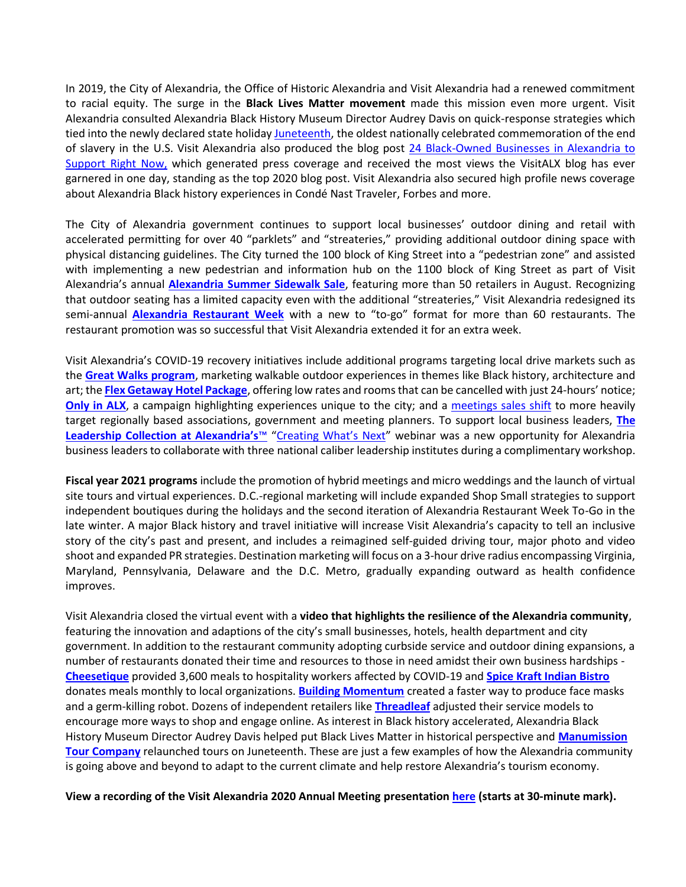In 2019, the City of Alexandria, the Office of Historic Alexandria and Visit Alexandria had a renewed commitment to racial equity. The surge in the **Black Lives Matter movement** made this mission even more urgent. Visit Alexandria consulted Alexandria Black History Museum Director Audrey Davis on quick-response strategies which tied into the newly declared state holiday [Juneteenth,](https://blog.visitalexandriava.com/juneteenth-black-history-museum/) the oldest nationally celebrated commemoration of the end of slavery in the U.S. Visit Alexandria also produced the blog post [24 Black-Owned Businesses](https://blog.visitalexandriava.com/black-owned-businesses/) in Alexandria to [Support Right Now,](https://blog.visitalexandriava.com/black-owned-businesses/) which generated press coverage and received the most views the VisitALX blog has ever garnered in one day, standing as the top 2020 blog post. Visit Alexandria also secured high profile news coverage about Alexandria Black history experiences in Condé Nast Traveler, Forbes and more.

The City of Alexandria government continues to support local businesses' outdoor dining and retail with accelerated permitting for over 40 "parklets" and "streateries," providing additional outdoor dining space with physical distancing guidelines. The City turned the 100 block of King Street into a "pedestrian zone" and assisted with implementing a new pedestrian and information hub on the 1100 block of King Street as part of Visit Alexandria's annual **[Alexandria Summer Sidewalk Sale](https://www.visitalexandriava.com/articles/post/alexandria-summer-sidewalk-sale-returns-august-15-and-16/)**, featuring more than 50 retailers in August. Recognizing that outdoor seating has a limited capacity even with the additional "streateries," Visit Alexandria redesigned its semi-annual **[Alexandria Restaurant Week](https://www.visitalexandriava.com/articles/post/alexandria-restaurant-week-adopts-new-to-go-format-featuring-60-restaurants/)** with a new to "to-go" format for more than 60 restaurants. The restaurant promotion was so successful that Visit Alexandria extended it for an extra week.

Visit Alexandria's COVID-19 recovery initiatives include additional programs targeting local drive markets such as the **[Great Walks program](https://www.visitalexandriava.com/things-to-do/great-walks-in-alexandria/#photo)**, marketing walkable outdoor experiences in themes like Black history, architecture and art; the **[Flex Getaway Hotel Package](https://www.visitalexandriava.com/hotels/packages/flex-getaway/)**, offering low rates and rooms that can be cancelled with just 24-hours' notice; **[Only in ALX](https://www.visitalexandriava.com/things-to-do/only-in-alx/)**, a campaign highlighting experiences unique to the city; and a [meetings](https://www.visitalexandriava.com/meeting/why-alexandria/regional-meetings/) sales shift to more heavily target regionally based associations, government and meeting planners. To support local business leaders, **[The](https://www.visitalexandriava.com/meeting/things-to-do/leadership-collection/)  [Leadership Collection at Alexandria's](https://www.visitalexandriava.com/meeting/things-to-do/leadership-collection/)**™ ["Creating What's Next"](https://www.visitalexandriava.com/meeting/tools-services/meeting-planner-events/educational-webinars/creating-whats-next/) webinar was a new opportunity for Alexandria business leaders to collaborate with three national caliber leadership institutes during a complimentary workshop.

**Fiscal year 2021 programs** include the promotion of hybrid meetings and micro weddings and the launch of virtual site tours and virtual experiences. D.C.-regional marketing will include expanded Shop Small strategies to support independent boutiques during the holidays and the second iteration of Alexandria Restaurant Week To-Go in the late winter. A major Black history and travel initiative will increase Visit Alexandria's capacity to tell an inclusive story of the city's past and present, and includes a reimagined self-guided driving tour, major photo and video shoot and expanded PR strategies. Destination marketing will focus on a 3-hour drive radius encompassing Virginia, Maryland, Pennsylvania, Delaware and the D.C. Metro, gradually expanding outward as health confidence improves.

Visit Alexandria closed the virtual event with a **video that highlights the resilience of the Alexandria community**, featuring the innovation and adaptions of the city's small businesses, hotels, health department and city government. In addition to the restaurant community adopting curbside service and outdoor dining expansions, a number of restaurants donated their time and resources to those in need amidst their own business hardships - **[Cheesetique](https://www.visitalexandriava.com/listings/cheesetique/5830/)** provided 3,600 meals to hospitality workers affected by COVID-19 and **[Spice Kraft Indian Bistro](https://www.visitalexandriava.com/listings/spice-kraft-indian-bistro/9315/)** donates meals monthly to local organizations. **[Building Momentum](https://www.visitalexandriava.com/listings/building-momentum/8615/)** created a faster way to produce face masks and a germ-killing robot. Dozens of independent retailers like **[Threadleaf](https://www.visitalexandriava.com/listings/threadleaf/7046/)** adjusted their service models to encourage more ways to shop and engage online. As interest in Black history accelerated, Alexandria Black History Museum Director Audrey Davis helped put Black Lives Matter in historical perspective and **[Manumission](https://www.visitalexandriava.com/listings/manumission-tour-company/5614/)  [Tour Company](https://www.visitalexandriava.com/listings/manumission-tour-company/5614/)** relaunched tours on Juneteenth. These are just a few examples of how the Alexandria community is going above and beyond to adapt to the current climate and help restore Alexandria's tourism economy.

**View a recording of the Visit Alexandria 2020 Annual Meeting presentatio[n here](https://firsthandpros.mediasite.com/Mediasite/Play/82dcf9efb35447bea819a56326b0ffdf1d) (starts at 30-minute mark).**